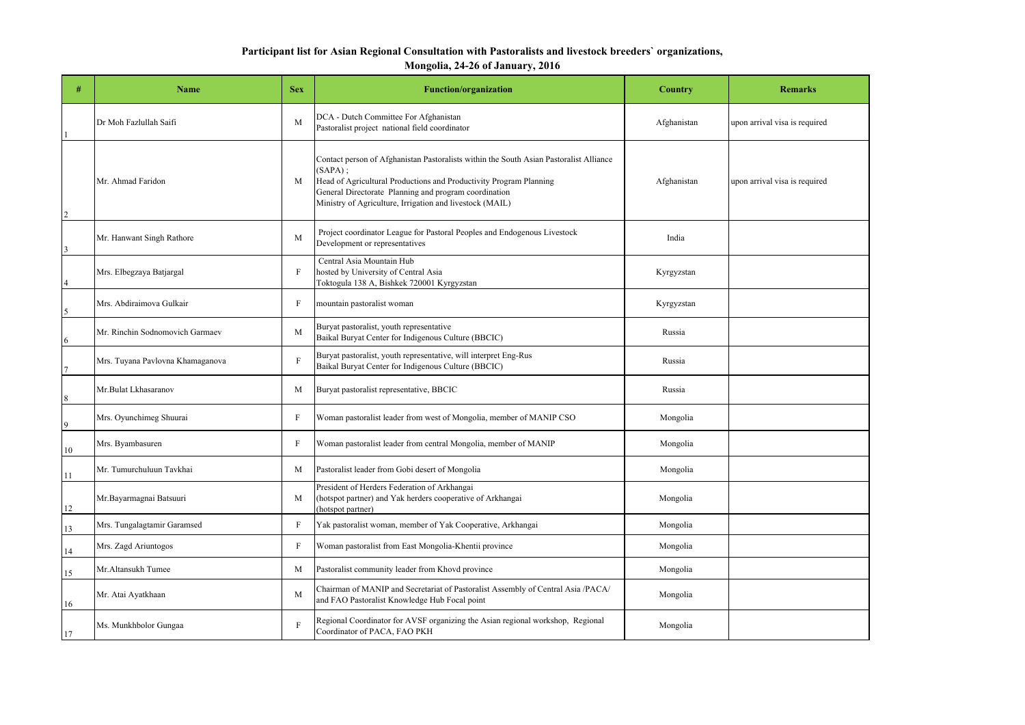## **Participant list for Asian Regional Consultation with Pastoralists and livestock breeders` organizations, Mongolia, 24-26 of January, 2016**

| #              | <b>Name</b>                      | <b>Sex</b>  | <b>Function/organization</b>                                                                                                                                                                                                                                                                    | <b>Country</b> | <b>Remarks</b>                |
|----------------|----------------------------------|-------------|-------------------------------------------------------------------------------------------------------------------------------------------------------------------------------------------------------------------------------------------------------------------------------------------------|----------------|-------------------------------|
|                | Dr Moh Fazlullah Saifi           | M           | DCA - Dutch Committee For Afghanistan<br>Pastoralist project national field coordinator                                                                                                                                                                                                         | Afghanistan    | upon arrival visa is required |
| $\overline{2}$ | Mr. Ahmad Faridon                | M           | Contact person of Afghanistan Pastoralists within the South Asian Pastoralist Alliance<br>$(SAPA)$ ;<br>Head of Agricultural Productions and Productivity Program Planning<br>General Directorate Planning and program coordination<br>Ministry of Agriculture, Irrigation and livestock (MAIL) | Afghanistan    | upon arrival visa is required |
| 3              | Mr. Hanwant Singh Rathore        | M           | Project coordinator League for Pastoral Peoples and Endogenous Livestock<br>Development or representatives                                                                                                                                                                                      | India          |                               |
| 4              | Mrs. Elbegzaya Batjargal         | F           | Central Asia Mountain Hub<br>hosted by University of Central Asia<br>Toktogula 138 A, Bishkek 720001 Kyrgyzstan                                                                                                                                                                                 | Kyrgyzstan     |                               |
| 5              | Mrs. Abdiraimova Gulkair         | F           | mountain pastoralist woman                                                                                                                                                                                                                                                                      | Kyrgyzstan     |                               |
| 6              | Mr. Rinchin Sodnomovich Garmaev  | M           | Buryat pastoralist, youth representative<br>Baikal Buryat Center for Indigenous Culture (BBCIC)                                                                                                                                                                                                 | Russia         |                               |
|                | Mrs. Tuyana Pavlovna Khamaganova | F           | Buryat pastoralist, youth representative, will interpret Eng-Rus<br>Baikal Buryat Center for Indigenous Culture (BBCIC)                                                                                                                                                                         | Russia         |                               |
| 8              | Mr.Bulat Lkhasaranov             | М           | Buryat pastoralist representative, BBCIC                                                                                                                                                                                                                                                        | Russia         |                               |
| 9              | Mrs. Oyunchimeg Shuurai          | F           | Woman pastoralist leader from west of Mongolia, member of MANIP CSO                                                                                                                                                                                                                             | Mongolia       |                               |
| 10             | Mrs. Byambasuren                 | F           | Woman pastoralist leader from central Mongolia, member of MANIP                                                                                                                                                                                                                                 | Mongolia       |                               |
| 11             | Mr. Tumurchuluun Tavkhai         | M           | Pastoralist leader from Gobi desert of Mongolia                                                                                                                                                                                                                                                 | Mongolia       |                               |
| 12             | Mr.Bayarmagnai Batsuuri          | M           | President of Herders Federation of Arkhangai<br>(hotspot partner) and Yak herders cooperative of Arkhangai<br>(hotspot partner)                                                                                                                                                                 | Mongolia       |                               |
| 13             | Mrs. Tungalagtamir Garamsed      | $\mathbf F$ | Yak pastoralist woman, member of Yak Cooperative, Arkhangai                                                                                                                                                                                                                                     | Mongolia       |                               |
| 14             | Mrs. Zagd Ariuntogos             | F           | Woman pastoralist from East Mongolia-Khentii province                                                                                                                                                                                                                                           | Mongolia       |                               |
| 15             | Mr.Altansukh Tumee               | M           | Pastoralist community leader from Khovd province                                                                                                                                                                                                                                                | Mongolia       |                               |
| 16             | Mr. Atai Ayatkhaan               | M           | Chairman of MANIP and Secretariat of Pastoralist Assembly of Central Asia /PACA/<br>and FAO Pastoralist Knowledge Hub Focal point                                                                                                                                                               | Mongolia       |                               |
| 17             | Ms. Munkhbolor Gungaa            | F           | Regional Coordinator for AVSF organizing the Asian regional workshop, Regional<br>Coordinator of PACA, FAO PKH                                                                                                                                                                                  | Mongolia       |                               |